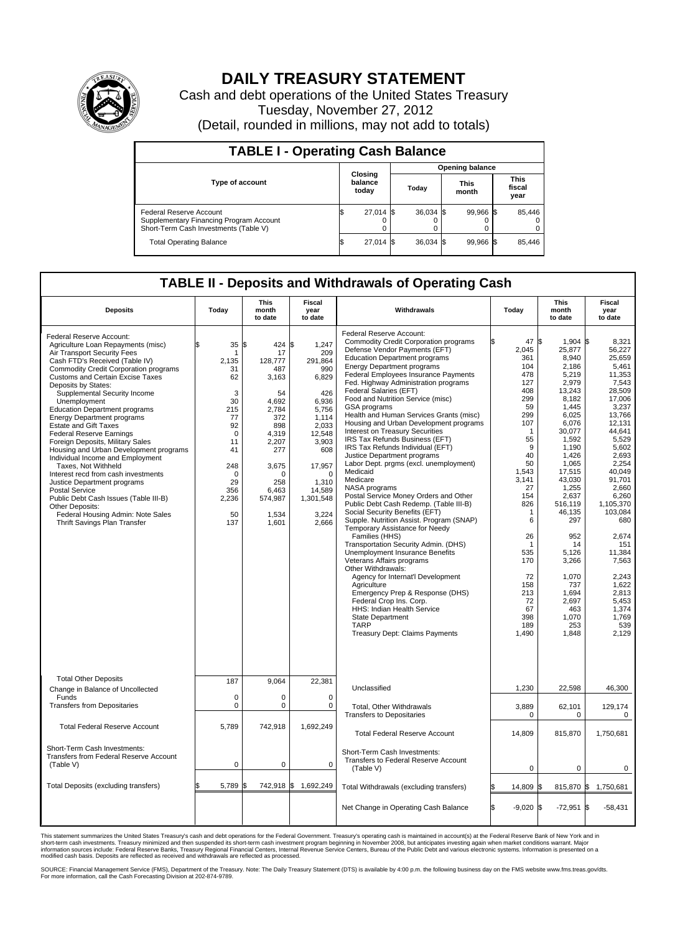

## **DAILY TREASURY STATEMENT**

Cash and debt operations of the United States Treasury Tuesday, November 27, 2012 (Detail, rounded in millions, may not add to totals)

| <b>TABLE I - Operating Cash Balance</b>                                                                     |                             |             |  |                 |  |                      |  |                               |  |  |
|-------------------------------------------------------------------------------------------------------------|-----------------------------|-------------|--|-----------------|--|----------------------|--|-------------------------------|--|--|
|                                                                                                             |                             |             |  | Opening balance |  |                      |  |                               |  |  |
| <b>Type of account</b>                                                                                      | Closing<br>balance<br>today |             |  | Todav           |  | <b>This</b><br>month |  | <b>This</b><br>fiscal<br>year |  |  |
| Federal Reserve Account<br>Supplementary Financing Program Account<br>Short-Term Cash Investments (Table V) | ß.                          | $27,014$ \$ |  | $36,034$ \$     |  | 99.966 \$            |  | 85,446<br>$^{(1)}$<br>0       |  |  |
| <b>Total Operating Balance</b>                                                                              | ß.                          | $27,014$ \$ |  | $36.034$ \$     |  | 99,966 \$            |  | 85,446                        |  |  |

## **TABLE II - Deposits and Withdrawals of Operating Cash**

| <b>Deposits</b>                                                                                                                                                                                                                                                                                                                                                                                                                                                                                                                                                                                                                                                                                                                                                                                                            | Today                                                                                                                                  | <b>This</b><br>month<br>to date                                                                                                                                | <b>Fiscal</b><br>year<br>to date                                                                                                                                                              | Withdrawals                                                                                                                                                                                                                                                                                                                                                                                                                                                                                                                                                                                                                                                                                                                                                                                                                                                                                                                                                                                                                                                                                                                                                                                                                                   | Today                                                                                                                                                                                                                                                         | <b>This</b><br>month<br>to date                                                                                                                                                                                                                                                                                         | <b>Fiscal</b><br>year<br>to date                                                                                                                                                                                                                                                                                                   |  |  |
|----------------------------------------------------------------------------------------------------------------------------------------------------------------------------------------------------------------------------------------------------------------------------------------------------------------------------------------------------------------------------------------------------------------------------------------------------------------------------------------------------------------------------------------------------------------------------------------------------------------------------------------------------------------------------------------------------------------------------------------------------------------------------------------------------------------------------|----------------------------------------------------------------------------------------------------------------------------------------|----------------------------------------------------------------------------------------------------------------------------------------------------------------|-----------------------------------------------------------------------------------------------------------------------------------------------------------------------------------------------|-----------------------------------------------------------------------------------------------------------------------------------------------------------------------------------------------------------------------------------------------------------------------------------------------------------------------------------------------------------------------------------------------------------------------------------------------------------------------------------------------------------------------------------------------------------------------------------------------------------------------------------------------------------------------------------------------------------------------------------------------------------------------------------------------------------------------------------------------------------------------------------------------------------------------------------------------------------------------------------------------------------------------------------------------------------------------------------------------------------------------------------------------------------------------------------------------------------------------------------------------|---------------------------------------------------------------------------------------------------------------------------------------------------------------------------------------------------------------------------------------------------------------|-------------------------------------------------------------------------------------------------------------------------------------------------------------------------------------------------------------------------------------------------------------------------------------------------------------------------|------------------------------------------------------------------------------------------------------------------------------------------------------------------------------------------------------------------------------------------------------------------------------------------------------------------------------------|--|--|
| Federal Reserve Account:<br>Agriculture Loan Repayments (misc)<br>Air Transport Security Fees<br>Cash FTD's Received (Table IV)<br><b>Commodity Credit Corporation programs</b><br><b>Customs and Certain Excise Taxes</b><br>Deposits by States:<br>Supplemental Security Income<br>Unemployment<br><b>Education Department programs</b><br><b>Energy Department programs</b><br><b>Estate and Gift Taxes</b><br><b>Federal Reserve Earnings</b><br>Foreign Deposits, Military Sales<br>Housing and Urban Development programs<br>Individual Income and Employment<br>Taxes. Not Withheld<br>Interest recd from cash investments<br>Justice Department programs<br><b>Postal Service</b><br>Public Debt Cash Issues (Table III-B)<br>Other Deposits:<br>Federal Housing Admin: Note Sales<br>Thrift Savings Plan Transfer | 35 S<br>1<br>2,135<br>31<br>62<br>3<br>30<br>215<br>77<br>92<br>$\mathbf 0$<br>11<br>41<br>248<br>0<br>29<br>356<br>2,236<br>50<br>137 | 424<br>17<br>128,777<br>487<br>3,163<br>54<br>4,692<br>2,784<br>372<br>898<br>4,319<br>2,207<br>277<br>3,675<br>0<br>258<br>6.463<br>574,987<br>1,534<br>1,601 | \$<br>1,247<br>209<br>291,864<br>990<br>6,829<br>426<br>6,936<br>5,756<br>1,114<br>2,033<br>12,548<br>3,903<br>608<br>17.957<br>$\mathbf 0$<br>1,310<br>14.589<br>1,301,548<br>3,224<br>2,666 | Federal Reserve Account:<br><b>Commodity Credit Corporation programs</b><br>Defense Vendor Payments (EFT)<br><b>Education Department programs</b><br><b>Energy Department programs</b><br>Federal Employees Insurance Payments<br>Fed. Highway Administration programs<br>Federal Salaries (EFT)<br>Food and Nutrition Service (misc)<br>GSA programs<br>Health and Human Services Grants (misc)<br>Housing and Urban Development programs<br>Interest on Treasury Securities<br>IRS Tax Refunds Business (EFT)<br>IRS Tax Refunds Individual (EFT)<br>Justice Department programs<br>Labor Dept. prgms (excl. unemployment)<br>Medicaid<br>Medicare<br>NASA programs<br>Postal Service Money Orders and Other<br>Public Debt Cash Redemp. (Table III-B)<br>Social Security Benefits (EFT)<br>Supple. Nutrition Assist. Program (SNAP)<br>Temporary Assistance for Needy<br>Families (HHS)<br>Transportation Security Admin. (DHS)<br>Unemployment Insurance Benefits<br>Veterans Affairs programs<br>Other Withdrawals:<br>Agency for Internat'l Development<br>Agriculture<br>Emergency Prep & Response (DHS)<br>Federal Crop Ins. Corp.<br>HHS: Indian Health Service<br>State Department<br><b>TARP</b><br>Treasury Dept: Claims Payments | 47 \$<br>2.045<br>361<br>104<br>478<br>127<br>408<br>299<br>59<br>299<br>107<br>$\mathbf 1$<br>55<br>9<br>40<br>50<br>1,543<br>3,141<br>27<br>154<br>826<br>$\mathbf 1$<br>6<br>26<br>-1<br>535<br>170<br>72<br>158<br>213<br>72<br>67<br>398<br>189<br>1,490 | $1,904$ \$<br>25,877<br>8,940<br>2.186<br>5,219<br>2,979<br>13,243<br>8,182<br>1,445<br>6,025<br>6.076<br>30,077<br>1,592<br>1.190<br>1,426<br>1,065<br>17,515<br>43,030<br>1,255<br>2,637<br>516,119<br>46,135<br>297<br>952<br>14<br>5.126<br>3,266<br>1,070<br>737<br>1,694<br>2,697<br>463<br>1,070<br>253<br>1,848 | 8,321<br>56,227<br>25,659<br>5.461<br>11,353<br>7,543<br>28,509<br>17,006<br>3,237<br>13,766<br>12.131<br>44,641<br>5,529<br>5.602<br>2,693<br>2,254<br>40,049<br>91,701<br>2,660<br>6,260<br>1.105.370<br>103,084<br>680<br>2,674<br>151<br>11.384<br>7,563<br>2,243<br>1,622<br>2,813<br>5,453<br>1,374<br>1.769<br>539<br>2,129 |  |  |
| <b>Total Other Deposits</b><br>Change in Balance of Uncollected<br>Funds                                                                                                                                                                                                                                                                                                                                                                                                                                                                                                                                                                                                                                                                                                                                                   | 187<br>$\mathbf 0$                                                                                                                     | 9,064<br>$\mathbf 0$                                                                                                                                           | 22,381<br>$\mathbf 0$                                                                                                                                                                         | Unclassified                                                                                                                                                                                                                                                                                                                                                                                                                                                                                                                                                                                                                                                                                                                                                                                                                                                                                                                                                                                                                                                                                                                                                                                                                                  | 1,230                                                                                                                                                                                                                                                         | 22,598                                                                                                                                                                                                                                                                                                                  | 46,300                                                                                                                                                                                                                                                                                                                             |  |  |
| <b>Transfers from Depositaries</b>                                                                                                                                                                                                                                                                                                                                                                                                                                                                                                                                                                                                                                                                                                                                                                                         | $\mathbf 0$                                                                                                                            | 0                                                                                                                                                              | $\mathsf 0$                                                                                                                                                                                   | Total, Other Withdrawals<br><b>Transfers to Depositaries</b>                                                                                                                                                                                                                                                                                                                                                                                                                                                                                                                                                                                                                                                                                                                                                                                                                                                                                                                                                                                                                                                                                                                                                                                  | 3,889<br>$\mathbf 0$                                                                                                                                                                                                                                          | 62,101<br>$\mathbf 0$                                                                                                                                                                                                                                                                                                   | 129,174<br>$\mathbf 0$                                                                                                                                                                                                                                                                                                             |  |  |
| <b>Total Federal Reserve Account</b>                                                                                                                                                                                                                                                                                                                                                                                                                                                                                                                                                                                                                                                                                                                                                                                       | 5,789                                                                                                                                  | 742,918                                                                                                                                                        | 1,692,249                                                                                                                                                                                     | <b>Total Federal Reserve Account</b>                                                                                                                                                                                                                                                                                                                                                                                                                                                                                                                                                                                                                                                                                                                                                                                                                                                                                                                                                                                                                                                                                                                                                                                                          | 14,809                                                                                                                                                                                                                                                        | 815,870                                                                                                                                                                                                                                                                                                                 | 1,750,681                                                                                                                                                                                                                                                                                                                          |  |  |
| Short-Term Cash Investments:<br>Transfers from Federal Reserve Account<br>(Table V)                                                                                                                                                                                                                                                                                                                                                                                                                                                                                                                                                                                                                                                                                                                                        | $\mathbf 0$                                                                                                                            | $\pmb{0}$                                                                                                                                                      | $\pmb{0}$                                                                                                                                                                                     | Short-Term Cash Investments:<br>Transfers to Federal Reserve Account<br>(Table V)                                                                                                                                                                                                                                                                                                                                                                                                                                                                                                                                                                                                                                                                                                                                                                                                                                                                                                                                                                                                                                                                                                                                                             | $\Omega$                                                                                                                                                                                                                                                      | 0                                                                                                                                                                                                                                                                                                                       | 0                                                                                                                                                                                                                                                                                                                                  |  |  |
| Total Deposits (excluding transfers)                                                                                                                                                                                                                                                                                                                                                                                                                                                                                                                                                                                                                                                                                                                                                                                       | 5,789 \$                                                                                                                               |                                                                                                                                                                | 742,918 \$ 1,692,249                                                                                                                                                                          | Total Withdrawals (excluding transfers)                                                                                                                                                                                                                                                                                                                                                                                                                                                                                                                                                                                                                                                                                                                                                                                                                                                                                                                                                                                                                                                                                                                                                                                                       | 14,809 \$<br>ß.                                                                                                                                                                                                                                               |                                                                                                                                                                                                                                                                                                                         | 815,870 \$ 1,750,681                                                                                                                                                                                                                                                                                                               |  |  |
|                                                                                                                                                                                                                                                                                                                                                                                                                                                                                                                                                                                                                                                                                                                                                                                                                            |                                                                                                                                        |                                                                                                                                                                |                                                                                                                                                                                               | Net Change in Operating Cash Balance                                                                                                                                                                                                                                                                                                                                                                                                                                                                                                                                                                                                                                                                                                                                                                                                                                                                                                                                                                                                                                                                                                                                                                                                          | S.<br>$-9,020$ \$                                                                                                                                                                                                                                             | $-72,951$ \$                                                                                                                                                                                                                                                                                                            | -58,431                                                                                                                                                                                                                                                                                                                            |  |  |

This statement summarizes the United States Treasury's cash and debt operations for the Federal Government. Treasury's operating cash is maintained in account(s) at the Federal Reserve Bank of New York and in<br>short-term ca

SOURCE: Financial Management Service (FMS), Department of the Treasury. Note: The Daily Treasury Statement (DTS) is available by 4:00 p.m. the following business day on the FMS website www.fms.treas.gov/dts.<br>For more infor